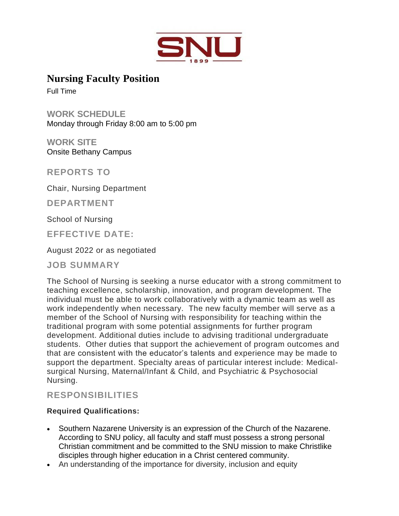

**Nursing Faculty Position**

Full Time

**WORK SCHEDULE** Monday through Friday 8:00 am to 5:00 pm

**WORK SITE** Onsite Bethany Campus

**REPORTS TO**

Chair, Nursing Department

**DEPARTMENT**

School of Nursing

**EFFECTIVE DATE:**

August 2022 or as negotiated

**JOB SUMMARY**

The School of Nursing is seeking a nurse educator with a strong commitment to teaching excellence, scholarship, innovation, and program development. The individual must be able to work collaboratively with a dynamic team as well as work independently when necessary. The new faculty member will serve as a member of the School of Nursing with responsibility for teaching within the traditional program with some potential assignments for further program development. Additional duties include to advising traditional undergraduate students. Other duties that support the achievement of program outcomes and that are consistent with the educator's talents and experience may be made to support the department. Specialty areas of particular interest include: Medicalsurgical Nursing, Maternal/Infant & Child, and Psychiatric & Psychosocial Nursing.

# **RESPONSIBILITIES**

## **Required Qualifications:**

- Southern Nazarene University is an expression of the Church of the Nazarene. According to SNU policy, all faculty and staff must possess a strong personal Christian commitment and be committed to the SNU mission to make Christlike disciples through higher education in a Christ centered community.
- An understanding of the importance for diversity, inclusion and equity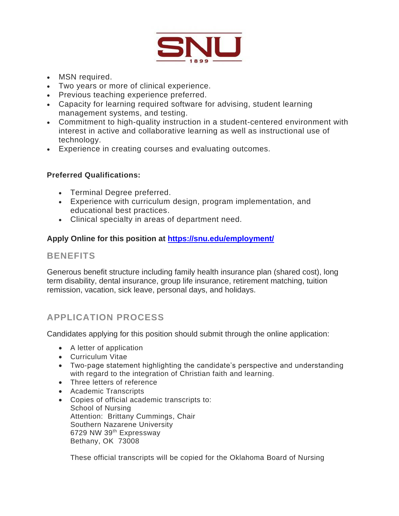

- MSN required.
- Two years or more of clinical experience.
- Previous teaching experience preferred.
- Capacity for learning required software for advising, student learning management systems, and testing.
- Commitment to high-quality instruction in a student-centered environment with interest in active and collaborative learning as well as instructional use of technology.
- Experience in creating courses and evaluating outcomes.

## **Preferred Qualifications:**

- Terminal Degree preferred.
- Experience with curriculum design, program implementation, and educational best practices.
- Clinical specialty in areas of department need.

## **Apply Online for this position at<https://snu.edu/employment/>**

## **BENEFITS**

Generous benefit structure including family health insurance plan (shared cost), long term disability, dental insurance, group life insurance, retirement matching, tuition remission, vacation, sick leave, personal days, and holidays.

# **APPLICATION PROCESS**

Candidates applying for this position should submit through the online application:

- A letter of application
- Curriculum Vitae
- Two-page statement highlighting the candidate's perspective and understanding with regard to the integration of Christian faith and learning.
- Three letters of reference
- Academic Transcripts
- Copies of official academic transcripts to: School of Nursing Attention: Brittany Cummings, Chair Southern Nazarene University 6729 NW 39th Expressway Bethany, OK 73008

These official transcripts will be copied for the Oklahoma Board of Nursing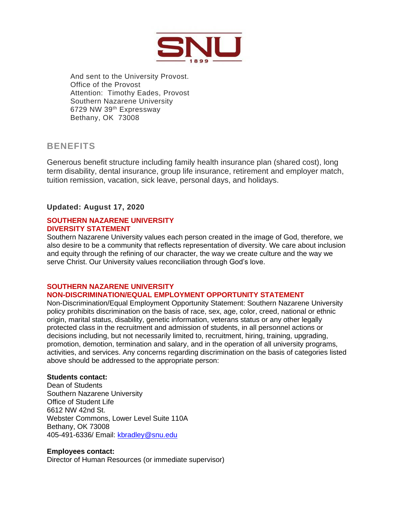

And sent to the University Provost. Office of the Provost Attention: Timothy Eades, Provost Southern Nazarene University 6729 NW 39th Expressway Bethany, OK 73008

# **BENEFITS**

Generous benefit structure including family health insurance plan (shared cost), long term disability, dental insurance, group life insurance, retirement and employer match, tuition remission, vacation, sick leave, personal days, and holidays.

## **Updated: August 17, 2020**

#### **SOUTHERN NAZARENE UNIVERSITY DIVERSITY STATEMENT**

Southern Nazarene University values each person created in the image of God, therefore, we also desire to be a community that reflects representation of diversity. We care about inclusion and equity through the refining of our character, the way we create culture and the way we serve Christ. Our University values reconciliation through God's love.

## **SOUTHERN NAZARENE UNIVERSITY**

## **NON-DISCRIMINATION/EQUAL EMPLOYMENT OPPORTUNITY STATEMENT**

Non-Discrimination/Equal Employment Opportunity Statement: Southern Nazarene University policy prohibits discrimination on the basis of race, sex, age, color, creed, national or ethnic origin, marital status, disability, genetic information, veterans status or any other legally protected class in the recruitment and admission of students, in all personnel actions or decisions including, but not necessarily limited to, recruitment, hiring, training, upgrading, promotion, demotion, termination and salary, and in the operation of all university programs, activities, and services. Any concerns regarding discrimination on the basis of categories listed above should be addressed to the appropriate person:

#### **Students contact:**

Dean of Students Southern Nazarene University Office of Student Life 6612 NW 42nd St. Webster Commons, Lower Level Suite 110A Bethany, OK 73008 405-491-6336/ Email: [kbradley@snu.edu](mailto:kbradley@snu.edu)

#### **Employees contact:**

Director of Human Resources (or immediate supervisor)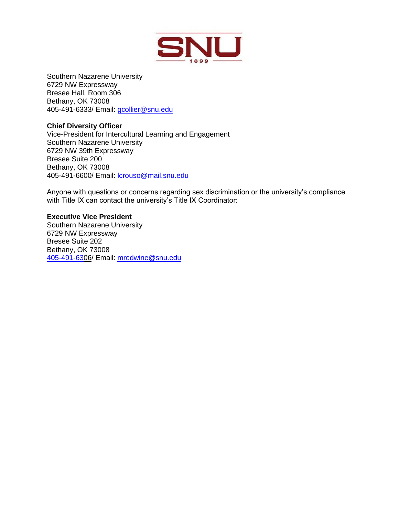

Southern Nazarene University 6729 NW Expressway Bresee Hall, Room 306 Bethany, OK 73008 405-491-6333/ Email: [gcollier@snu.edu](mailto:gcollier@snu.edu)

#### **Chief Diversity Officer**

Vice-President for Intercultural Learning and Engagement Southern Nazarene University 6729 NW 39th Expressway Bresee Suite 200 Bethany, OK 73008 405-491-6600/ Email: [lcrouso@mail.snu.edu](mailto:lcrouso@mail.snu.edu)

Anyone with questions or concerns regarding sex discrimination or the university's compliance with Title IX can contact the university's Title IX Coordinator:

#### **Executive Vice President**

Southern Nazarene University 6729 NW Expressway Bresee Suite 202 Bethany, OK 73008 [405-491-630](tel:(405)%20491-6333)6/ Email: [mredwine@snu.edu](mailto:mredwine@snu.edu)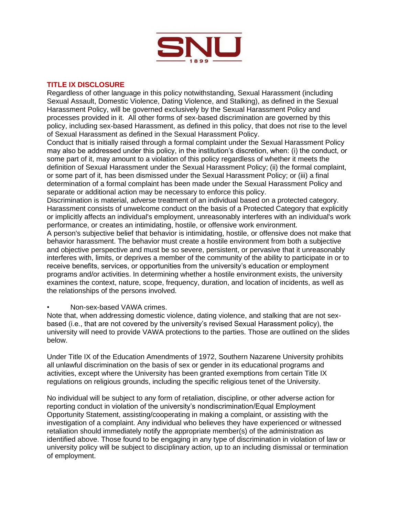

#### **TITLE IX DISCLOSURE**

Regardless of other language in this policy notwithstanding, Sexual Harassment (including Sexual Assault, Domestic Violence, Dating Violence, and Stalking), as defined in the Sexual Harassment Policy, will be governed exclusively by the Sexual Harassment Policy and processes provided in it. All other forms of sex-based discrimination are governed by this policy, including sex-based Harassment, as defined in this policy, that does not rise to the level of Sexual Harassment as defined in the Sexual Harassment Policy.

Conduct that is initially raised through a formal complaint under the Sexual Harassment Policy may also be addressed under this policy, in the institution's discretion, when: (i) the conduct, or some part of it, may amount to a violation of this policy regardless of whether it meets the definition of Sexual Harassment under the Sexual Harassment Policy; (ii) the formal complaint, or some part of it, has been dismissed under the Sexual Harassment Policy; or (iii) a final determination of a formal complaint has been made under the Sexual Harassment Policy and separate or additional action may be necessary to enforce this policy.

Discrimination is material, adverse treatment of an individual based on a protected category. Harassment consists of unwelcome conduct on the basis of a Protected Category that explicitly or implicitly affects an individual's employment, unreasonably interferes with an individual's work performance, or creates an intimidating, hostile, or offensive work environment.

A person's subjective belief that behavior is intimidating, hostile, or offensive does not make that behavior harassment. The behavior must create a hostile environment from both a subjective and objective perspective and must be so severe, persistent, or pervasive that it unreasonably interferes with, limits, or deprives a member of the community of the ability to participate in or to receive benefits, services, or opportunities from the university's education or employment programs and/or activities. In determining whether a hostile environment exists, the university examines the context, nature, scope, frequency, duration, and location of incidents, as well as the relationships of the persons involved.

• Non-sex-based VAWA crimes.

Note that, when addressing domestic violence, dating violence, and stalking that are not sexbased (i.e., that are not covered by the university's revised Sexual Harassment policy), the university will need to provide VAWA protections to the parties. Those are outlined on the slides below.

Under Title IX of the Education Amendments of 1972, Southern Nazarene University prohibits all unlawful discrimination on the basis of sex or gender in its educational programs and activities, except where the University has been granted exemptions from certain Title IX regulations on religious grounds, including the specific religious tenet of the University.

No individual will be subject to any form of retaliation, discipline, or other adverse action for reporting conduct in violation of the university's nondiscrimination/Equal Employment Opportunity Statement, assisting/cooperating in making a complaint, or assisting with the investigation of a complaint. Any individual who believes they have experienced or witnessed retaliation should immediately notify the appropriate member(s) of the administration as identified above. Those found to be engaging in any type of discrimination in violation of law or university policy will be subject to disciplinary action, up to an including dismissal or termination of employment.